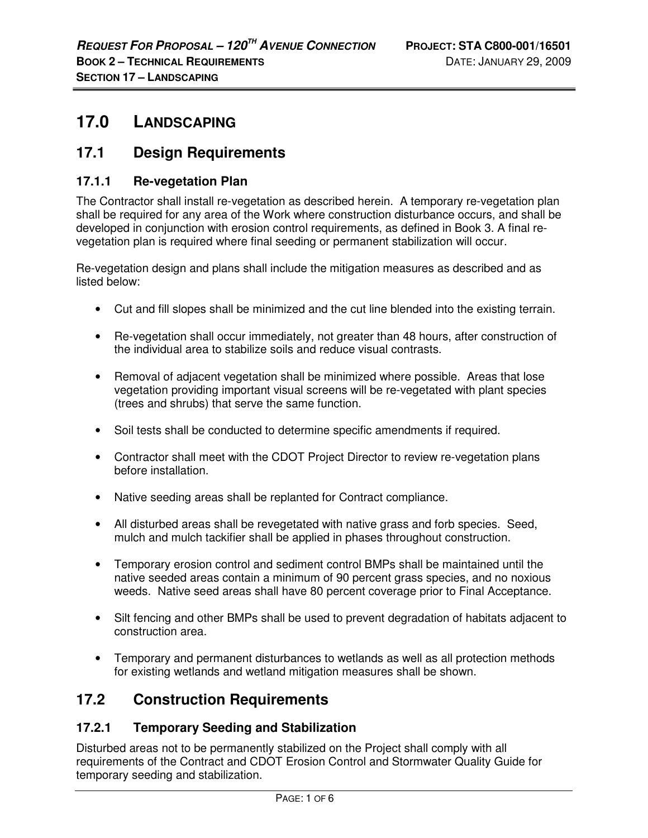# **17.0 LANDSCAPING**

# **17.1 Design Requirements**

## **17.1.1 Re-vegetation Plan**

The Contractor shall install re-vegetation as described herein. A temporary re-vegetation plan shall be required for any area of the Work where construction disturbance occurs, and shall be developed in conjunction with erosion control requirements, as defined in Book 3. A final revegetation plan is required where final seeding or permanent stabilization will occur.

Re-vegetation design and plans shall include the mitigation measures as described and as listed below:

- Cut and fill slopes shall be minimized and the cut line blended into the existing terrain.
- Re-vegetation shall occur immediately, not greater than 48 hours, after construction of the individual area to stabilize soils and reduce visual contrasts.
- Removal of adjacent vegetation shall be minimized where possible. Areas that lose vegetation providing important visual screens will be re-vegetated with plant species (trees and shrubs) that serve the same function.
- Soil tests shall be conducted to determine specific amendments if required.
- Contractor shall meet with the CDOT Project Director to review re-vegetation plans before installation.
- Native seeding areas shall be replanted for Contract compliance.
- All disturbed areas shall be revegetated with native grass and forb species. Seed, mulch and mulch tackifier shall be applied in phases throughout construction.
- Temporary erosion control and sediment control BMPs shall be maintained until the native seeded areas contain a minimum of 90 percent grass species, and no noxious weeds. Native seed areas shall have 80 percent coverage prior to Final Acceptance.
- Silt fencing and other BMPs shall be used to prevent degradation of habitats adjacent to construction area.
- Temporary and permanent disturbances to wetlands as well as all protection methods for existing wetlands and wetland mitigation measures shall be shown.

# **17.2 Construction Requirements**

### **17.2.1 Temporary Seeding and Stabilization**

Disturbed areas not to be permanently stabilized on the Project shall comply with all requirements of the Contract and CDOT Erosion Control and Stormwater Quality Guide for temporary seeding and stabilization.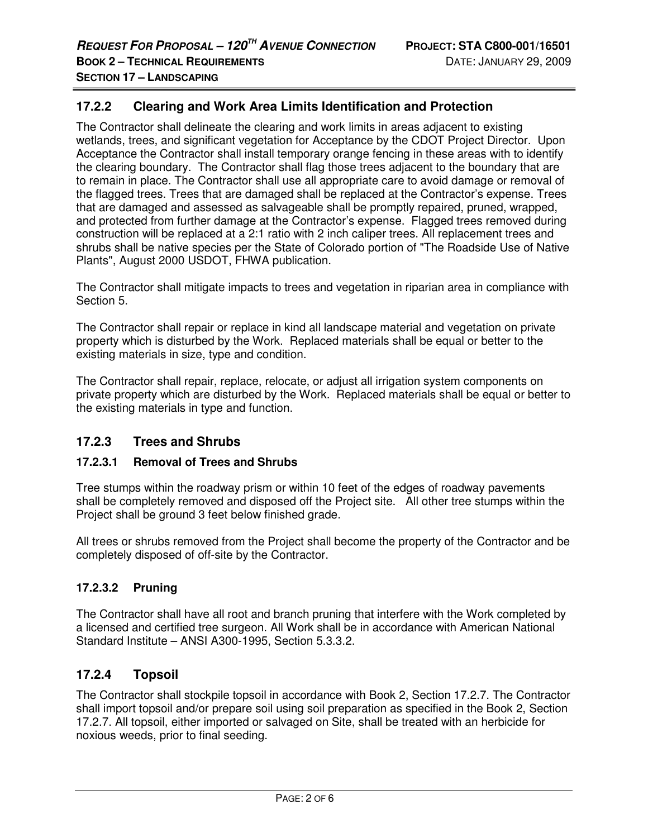#### **17.2.2 Clearing and Work Area Limits Identification and Protection**

The Contractor shall delineate the clearing and work limits in areas adjacent to existing wetlands, trees, and significant vegetation for Acceptance by the CDOT Project Director. Upon Acceptance the Contractor shall install temporary orange fencing in these areas with to identify the clearing boundary. The Contractor shall flag those trees adjacent to the boundary that are to remain in place. The Contractor shall use all appropriate care to avoid damage or removal of the flagged trees. Trees that are damaged shall be replaced at the Contractor's expense. Trees that are damaged and assessed as salvageable shall be promptly repaired, pruned, wrapped, and protected from further damage at the Contractor's expense. Flagged trees removed during construction will be replaced at a 2:1 ratio with 2 inch caliper trees. All replacement trees and shrubs shall be native species per the State of Colorado portion of "The Roadside Use of Native Plants", August 2000 USDOT, FHWA publication.

The Contractor shall mitigate impacts to trees and vegetation in riparian area in compliance with Section 5.

The Contractor shall repair or replace in kind all landscape material and vegetation on private property which is disturbed by the Work. Replaced materials shall be equal or better to the existing materials in size, type and condition.

The Contractor shall repair, replace, relocate, or adjust all irrigation system components on private property which are disturbed by the Work. Replaced materials shall be equal or better to the existing materials in type and function.

#### **17.2.3 Trees and Shrubs**

#### **17.2.3.1 Removal of Trees and Shrubs**

Tree stumps within the roadway prism or within 10 feet of the edges of roadway pavements shall be completely removed and disposed off the Project site. All other tree stumps within the Project shall be ground 3 feet below finished grade.

All trees or shrubs removed from the Project shall become the property of the Contractor and be completely disposed of off-site by the Contractor.

#### **17.2.3.2 Pruning**

The Contractor shall have all root and branch pruning that interfere with the Work completed by a licensed and certified tree surgeon. All Work shall be in accordance with American National Standard Institute – ANSI A300-1995, Section 5.3.3.2.

#### **17.2.4 Topsoil**

The Contractor shall stockpile topsoil in accordance with Book 2, Section 17.2.7. The Contractor shall import topsoil and/or prepare soil using soil preparation as specified in the Book 2, Section 17.2.7. All topsoil, either imported or salvaged on Site, shall be treated with an herbicide for noxious weeds, prior to final seeding.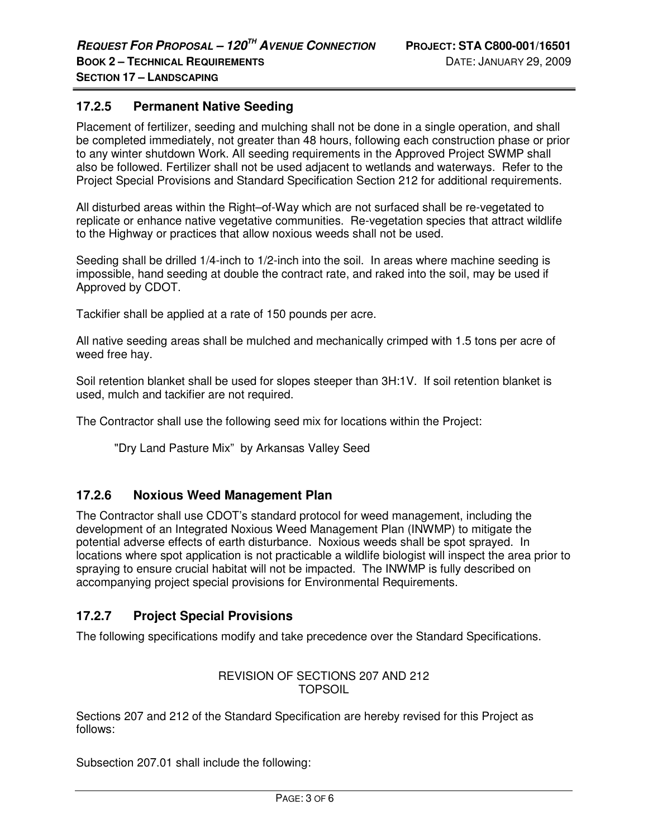#### **17.2.5 Permanent Native Seeding**

Placement of fertilizer, seeding and mulching shall not be done in a single operation, and shall be completed immediately, not greater than 48 hours, following each construction phase or prior to any winter shutdown Work. All seeding requirements in the Approved Project SWMP shall also be followed. Fertilizer shall not be used adjacent to wetlands and waterways. Refer to the Project Special Provisions and Standard Specification Section 212 for additional requirements.

All disturbed areas within the Right–of-Way which are not surfaced shall be re-vegetated to replicate or enhance native vegetative communities. Re-vegetation species that attract wildlife to the Highway or practices that allow noxious weeds shall not be used.

Seeding shall be drilled 1/4-inch to 1/2-inch into the soil. In areas where machine seeding is impossible, hand seeding at double the contract rate, and raked into the soil, may be used if Approved by CDOT.

Tackifier shall be applied at a rate of 150 pounds per acre.

All native seeding areas shall be mulched and mechanically crimped with 1.5 tons per acre of weed free hay.

Soil retention blanket shall be used for slopes steeper than 3H:1V. If soil retention blanket is used, mulch and tackifier are not required.

The Contractor shall use the following seed mix for locations within the Project:

"Dry Land Pasture Mix" by Arkansas Valley Seed

#### **17.2.6 Noxious Weed Management Plan**

The Contractor shall use CDOT's standard protocol for weed management, including the development of an Integrated Noxious Weed Management Plan (INWMP) to mitigate the potential adverse effects of earth disturbance. Noxious weeds shall be spot sprayed. In locations where spot application is not practicable a wildlife biologist will inspect the area prior to spraying to ensure crucial habitat will not be impacted. The INWMP is fully described on accompanying project special provisions for Environmental Requirements.

#### **17.2.7 Project Special Provisions**

The following specifications modify and take precedence over the Standard Specifications.

#### REVISION OF SECTIONS 207 AND 212 TOPSOIL

Sections 207 and 212 of the Standard Specification are hereby revised for this Project as follows:

Subsection 207.01 shall include the following: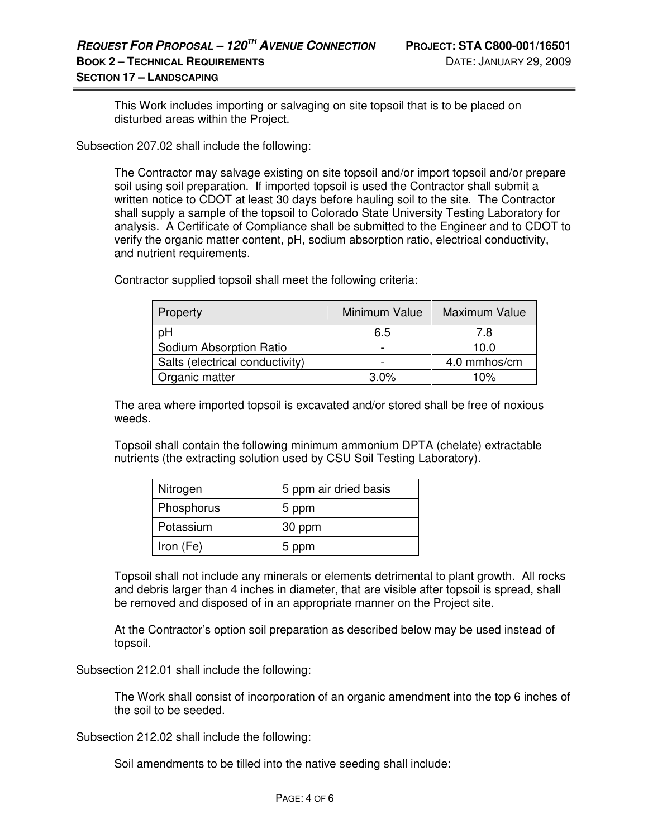This Work includes importing or salvaging on site topsoil that is to be placed on disturbed areas within the Project.

Subsection 207.02 shall include the following:

The Contractor may salvage existing on site topsoil and/or import topsoil and/or prepare soil using soil preparation. If imported topsoil is used the Contractor shall submit a written notice to CDOT at least 30 days before hauling soil to the site. The Contractor shall supply a sample of the topsoil to Colorado State University Testing Laboratory for analysis. A Certificate of Compliance shall be submitted to the Engineer and to CDOT to verify the organic matter content, pH, sodium absorption ratio, electrical conductivity, and nutrient requirements.

Contractor supplied topsoil shall meet the following criteria:

| Property                        | Minimum Value | Maximum Value |
|---------------------------------|---------------|---------------|
| рH                              | 6.5           | 7.8           |
| Sodium Absorption Ratio         |               | 10.0          |
| Salts (electrical conductivity) |               | 4.0 mmhos/cm  |
| Organic matter                  | 3.0%          | 10%           |

The area where imported topsoil is excavated and/or stored shall be free of noxious weeds.

Topsoil shall contain the following minimum ammonium DPTA (chelate) extractable nutrients (the extracting solution used by CSU Soil Testing Laboratory).

| Nitrogen   | 5 ppm air dried basis |  |
|------------|-----------------------|--|
| Phosphorus | 5 ppm                 |  |
| Potassium  | 30 ppm                |  |
| Iron (Fe)  | 5 ppm                 |  |

Topsoil shall not include any minerals or elements detrimental to plant growth. All rocks and debris larger than 4 inches in diameter, that are visible after topsoil is spread, shall be removed and disposed of in an appropriate manner on the Project site.

At the Contractor's option soil preparation as described below may be used instead of topsoil.

Subsection 212.01 shall include the following:

The Work shall consist of incorporation of an organic amendment into the top 6 inches of the soil to be seeded.

Subsection 212.02 shall include the following:

Soil amendments to be tilled into the native seeding shall include: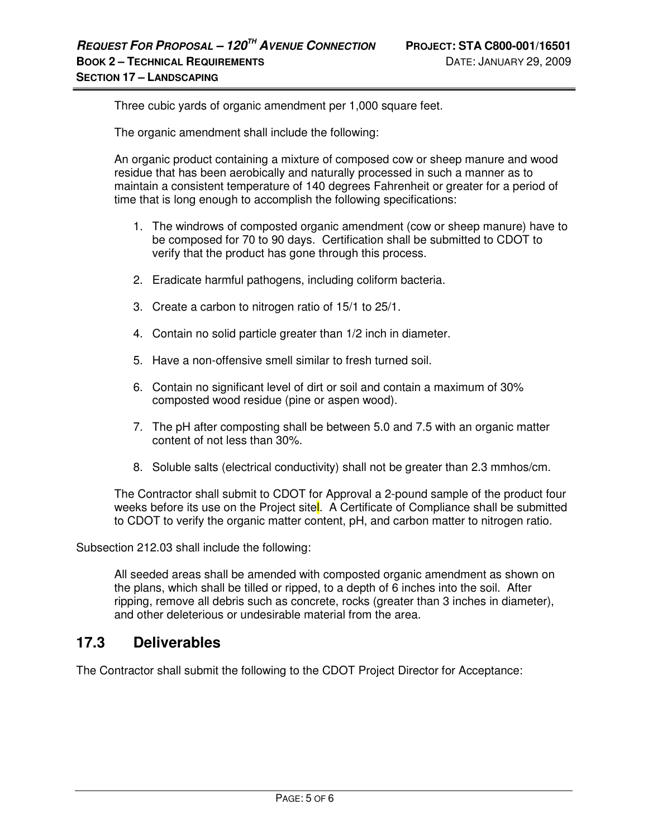Three cubic yards of organic amendment per 1,000 square feet.

The organic amendment shall include the following:

An organic product containing a mixture of composed cow or sheep manure and wood residue that has been aerobically and naturally processed in such a manner as to maintain a consistent temperature of 140 degrees Fahrenheit or greater for a period of time that is long enough to accomplish the following specifications:

- 1. The windrows of composted organic amendment (cow or sheep manure) have to be composed for 70 to 90 days. Certification shall be submitted to CDOT to verify that the product has gone through this process.
- 2. Eradicate harmful pathogens, including coliform bacteria.
- 3. Create a carbon to nitrogen ratio of 15/1 to 25/1.
- 4. Contain no solid particle greater than 1/2 inch in diameter.
- 5. Have a non-offensive smell similar to fresh turned soil.
- 6. Contain no significant level of dirt or soil and contain a maximum of 30% composted wood residue (pine or aspen wood).
- 7. The pH after composting shall be between 5.0 and 7.5 with an organic matter content of not less than 30%.
- 8. Soluble salts (electrical conductivity) shall not be greater than 2.3 mmhos/cm.

The Contractor shall submit to CDOT for Approval a 2-pound sample of the product four weeks before its use on the Project sitel. A Certificate of Compliance shall be submitted to CDOT to verify the organic matter content, pH, and carbon matter to nitrogen ratio.

Subsection 212.03 shall include the following:

All seeded areas shall be amended with composted organic amendment as shown on the plans, which shall be tilled or ripped, to a depth of 6 inches into the soil. After ripping, remove all debris such as concrete, rocks (greater than 3 inches in diameter), and other deleterious or undesirable material from the area.

## **17.3 Deliverables**

The Contractor shall submit the following to the CDOT Project Director for Acceptance: